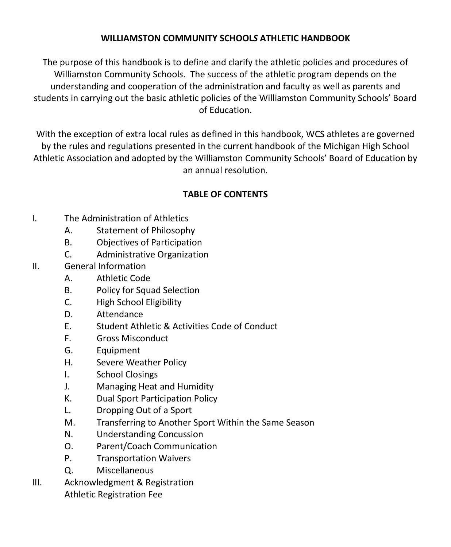### **WILLIAMSTON COMMUNITY SCHOOL***S* **ATHLETIC HANDBOOK**

The purpose of this handbook is to define and clarify the athletic policies and procedures of Williamston Community School*s*. The success of the athletic program depends on the understanding and cooperation of the administration and faculty as well as parents and students in carrying out the basic athletic policies of the Williamston Community Schools' Board of Education.

With the exception of extra local rules as defined in this handbook, WCS athletes are governed by the rules and regulations presented in the current handbook of the Michigan High School Athletic Association and adopted by the Williamston Community Schools' Board of Education by an annual resolution.

# **TABLE OF CONTENTS**

- I. The Administration of Athletics
	- A. Statement of Philosophy
	- B. Objectives of Participation
	- C. Administrative Organization
- II. General Information
	- A. Athletic Code
	- B. Policy for Squad Selection
	- C. High School Eligibility
	- D. Attendance
	- E. Student Athletic & Activities Code of Conduct
	- F. Gross Misconduct
	- G. Equipment
	- H. Severe Weather Policy
	- I. School Closings
	- J. Managing Heat and Humidity
	- K. Dual Sport Participation Policy
	- L. Dropping Out of a Sport
	- M. Transferring to Another Sport Within the Same Season
	- N. Understanding Concussion
	- O. Parent/Coach Communication
	- P. Transportation Waivers
	- Q. Miscellaneous
- III. Acknowledgment & Registration Athletic Registration Fee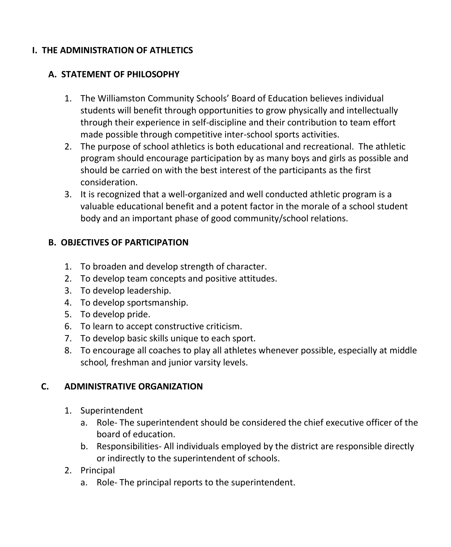### **I. THE ADMINISTRATION OF ATHLETICS**

### **A. STATEMENT OF PHILOSOPHY**

- 1. The Williamston Community Schools' Board of Education believes individual students will benefit through opportunities to grow physically and intellectually through their experience in self-discipline and their contribution to team effort made possible through competitive inter-school sports activities.
- 2. The purpose of school athletics is both educational and recreational. The athletic program should encourage participation by as many boys and girls as possible and should be carried on with the best interest of the participants as the first consideration.
- 3. It is recognized that a well-organized and well conducted athletic program is a valuable educational benefit and a potent factor in the morale of a school student body and an important phase of good community/school relations.

### **B. OBJECTIVES OF PARTICIPATION**

- 1. To broaden and develop strength of character.
- 2. To develop team concepts and positive attitudes.
- 3. To develop leadership.
- 4. To develop sportsmanship.
- 5. To develop pride.
- 6. To learn to accept constructive criticism.
- 7. To develop basic skills unique to each sport.
- 8. To encourage all coaches to play all athletes whenever possible, especially at middle school*,* freshman and junior varsity levels.

### **C. ADMINISTRATIVE ORGANIZATION**

- 1. Superintendent
	- a. Role- The superintendent should be considered the chief executive officer of the board of education.
	- b. Responsibilities- All individuals employed by the district are responsible directly or indirectly to the superintendent of schools.
- 2. Principal
	- a. Role- The principal reports to the superintendent.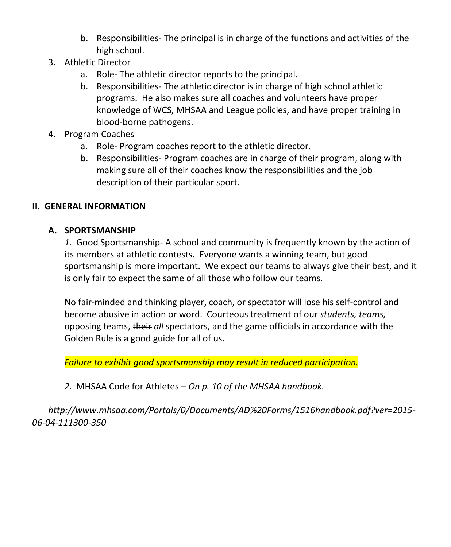- b. Responsibilities- The principal is in charge of the functions and activities of the high school.
- 3. Athletic Director
	- a. Role- The athletic director reports to the principal.
	- b. Responsibilities- The athletic director is in charge of high school athletic programs. He also makes sure all coaches and volunteers have proper knowledge of WCS, MHSAA and League policies, and have proper training in blood-borne pathogens.
- 4. Program Coaches
	- a. Role- Program coaches report to the athletic director.
	- b. Responsibilities- Program coaches are in charge of their program, along with making sure all of their coaches know the responsibilities and the job description of their particular sport.

### **II. GENERAL INFORMATION**

### **A. SPORTSMANSHIP**

*1.* Good Sportsmanship- A school and community is frequently known by the action of its members at athletic contests. Everyone wants a winning team, but good sportsmanship is more important. We expect our teams to always give their best, and it is only fair to expect the same of all those who follow our teams.

No fair-minded and thinking player, coach, or spectator will lose his self-control and become abusive in action or word. Courteous treatment of our *students, teams,* opposing teams, their *all* spectators, and the game officials in accordance with the Golden Rule is a good guide for all of us.

*Failure to exhibit good sportsmanship may result in reduced participation.* 

### *2.* MHSAA Code for Athletes – *On p. 10 of the MHSAA handbook.*

*http://www.mhsaa.com/Portals/0/Documents/AD%20Forms/1516handbook.pdf?ver=2015- 06-04-111300-350*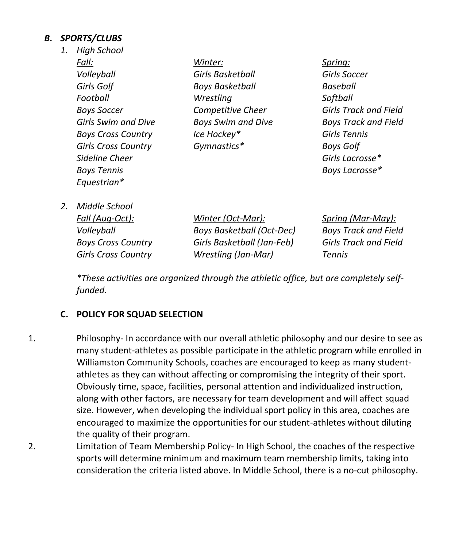### *B. SPORTS/CLUBS*

| 1. | <b>High School</b>         |                           |                             |
|----|----------------------------|---------------------------|-----------------------------|
|    | Fall:                      | Winter:                   | Spring:                     |
|    | Volleyball                 | Girls Basketball          | Girls Soccer                |
|    | Girls Golf                 | <b>Boys Basketball</b>    | Baseball                    |
|    | Football                   | Wrestling                 | Softball                    |
|    | <b>Boys Soccer</b>         | Competitive Cheer         | Girls Track and Field       |
|    | Girls Swim and Dive        | <b>Boys Swim and Dive</b> | <b>Boys Track and Field</b> |
|    | <b>Boys Cross Country</b>  | Ice Hockey*               | Girls Tennis                |
|    | <b>Girls Cross Country</b> | Gymnastics*               | Boys Golf                   |
|    | Sideline Cheer             |                           | Girls Lacrosse*             |
|    | <b>Boys Tennis</b>         |                           | Boys Lacrosse*              |
|    | Equestrian*                |                           |                             |
|    |                            |                           |                             |

*2. Middle School*

*Fall (Aug-Oct): Winter (Oct-Mar): Spring (Mar-May): Volleyball Boys Basketball (Oct-Dec) Boys Track and Field Boys Cross Country Girls Basketball (Jan-Feb) Girls Track and Field Girls Cross Country Wrestling (Jan-Mar) Tennis*

*\*These activities are organized through the athletic office, but are completely selffunded.*

### **C. POLICY FOR SQUAD SELECTION**

- 1. Philosophy- In accordance with our overall athletic philosophy and our desire to see as many student-athletes as possible participate in the athletic program while enrolled in Williamston Community Schools, coaches are encouraged to keep as many studentathletes as they can without affecting or compromising the integrity of their sport. Obviously time, space, facilities, personal attention and individualized instruction, along with other factors, are necessary for team development and will affect squad size. However, when developing the individual sport policy in this area, coaches are encouraged to maximize the opportunities for our student-athletes without diluting the quality of their program.
- 2. Limitation of Team Membership Policy- In High School, the coaches of the respective sports will determine minimum and maximum team membership limits, taking into consideration the criteria listed above. In Middle School, there is a no-cut philosophy.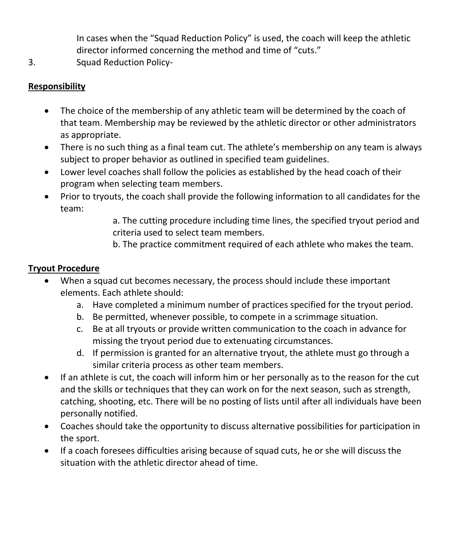In cases when the "Squad Reduction Policy" is used, the coach will keep the athletic director informed concerning the method and time of "cuts."

3. Squad Reduction Policy-

## **Responsibility**

- The choice of the membership of any athletic team will be determined by the coach of that team. Membership may be reviewed by the athletic director or other administrators as appropriate.
- There is no such thing as a final team cut. The athlete's membership on any team is always subject to proper behavior as outlined in specified team guidelines.
- Lower level coaches shall follow the policies as established by the head coach of their program when selecting team members.
- Prior to tryouts, the coach shall provide the following information to all candidates for the team:

a. The cutting procedure including time lines, the specified tryout period and criteria used to select team members.

b. The practice commitment required of each athlete who makes the team.

### **Tryout Procedure**

- When a squad cut becomes necessary, the process should include these important elements. Each athlete should:
	- a. Have completed a minimum number of practices specified for the tryout period.
	- b. Be permitted, whenever possible, to compete in a scrimmage situation.
	- c. Be at all tryouts or provide written communication to the coach in advance for missing the tryout period due to extenuating circumstances.
	- d. If permission is granted for an alternative tryout, the athlete must go through a similar criteria process as other team members.
- If an athlete is cut, the coach will inform him or her personally as to the reason for the cut and the skills or techniques that they can work on for the next season, such as strength, catching, shooting, etc. There will be no posting of lists until after all individuals have been personally notified.
- Coaches should take the opportunity to discuss alternative possibilities for participation in the sport.
- If a coach foresees difficulties arising because of squad cuts, he or she will discuss the situation with the athletic director ahead of time.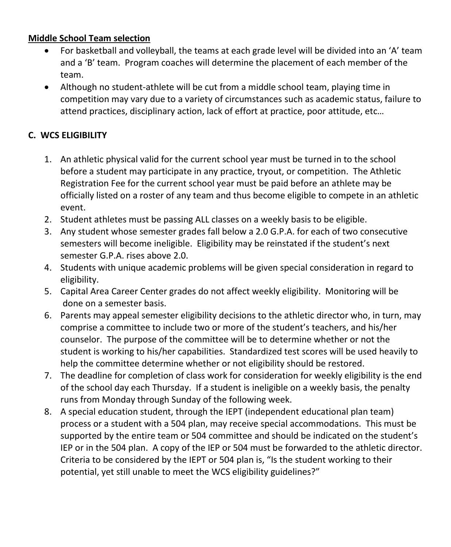### **Middle School Team selection**

- For basketball and volleyball, the teams at each grade level will be divided into an 'A' team and a 'B' team. Program coaches will determine the placement of each member of the team.
- Although no student-athlete will be cut from a middle school team, playing time in competition may vary due to a variety of circumstances such as academic status, failure to attend practices, disciplinary action, lack of effort at practice, poor attitude, etc…

## **C. WCS ELIGIBILITY**

- 1. An athletic physical valid for the current school year must be turned in to the school before a student may participate in any practice, tryout, or competition. The Athletic Registration Fee for the current school year must be paid before an athlete may be officially listed on a roster of any team and thus become eligible to compete in an athletic event.
- 2. Student athletes must be passing ALL classes on a weekly basis to be eligible.
- 3. Any student whose semester grades fall below a 2.0 G.P.A. for each of two consecutive semesters will become ineligible. Eligibility may be reinstated if the student's next semester G.P.A. rises above 2.0.
- 4. Students with unique academic problems will be given special consideration in regard to eligibility.
- 5. Capital Area Career Center grades do not affect weekly eligibility. Monitoring will be done on a semester basis.
- 6. Parents may appeal semester eligibility decisions to the athletic director who, in turn, may comprise a committee to include two or more of the student's teachers, and his/her counselor. The purpose of the committee will be to determine whether or not the student is working to his/her capabilities. Standardized test scores will be used heavily to help the committee determine whether or not eligibility should be restored.
- 7. The deadline for completion of class work for consideration for weekly eligibility is the end of the school day each Thursday. If a student is ineligible on a weekly basis, the penalty runs from Monday through Sunday of the following week.
- 8. A special education student, through the IEPT (independent educational plan team) process or a student with a 504 plan, may receive special accommodations. This must be supported by the entire team or 504 committee and should be indicated on the student's IEP or in the 504 plan. A copy of the IEP or 504 must be forwarded to the athletic director. Criteria to be considered by the IEPT or 504 plan is, "Is the student working to their potential, yet still unable to meet the WCS eligibility guidelines?"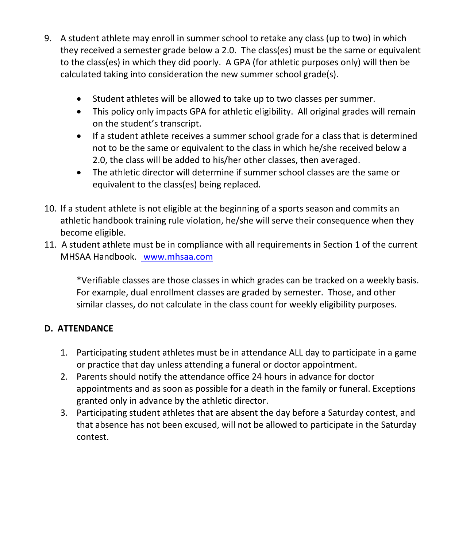- 9. A student athlete may enroll in summer school to retake any class (up to two) in which they received a semester grade below a 2.0. The class(es) must be the same or equivalent to the class(es) in which they did poorly. A GPA (for athletic purposes only) will then be calculated taking into consideration the new summer school grade(s).
	- Student athletes will be allowed to take up to two classes per summer.
	- This policy only impacts GPA for athletic eligibility. All original grades will remain on the student's transcript.
	- If a student athlete receives a summer school grade for a class that is determined not to be the same or equivalent to the class in which he/she received below a 2.0, the class will be added to his/her other classes, then averaged.
	- The athletic director will determine if summer school classes are the same or equivalent to the class(es) being replaced.
- 10. If a student athlete is not eligible at the beginning of a sports season and commits an athletic handbook training rule violation, he/she will serve their consequence when they become eligible.
- 11. A student athlete must be in compliance with all requirements in Section 1 of the current MHSAA Handbook. [www.mhsaa.com](http://www.mhsaa.com/)

\*Verifiable classes are those classes in which grades can be tracked on a weekly basis. For example, dual enrollment classes are graded by semester. Those, and other similar classes, do not calculate in the class count for weekly eligibility purposes.

# **D. ATTENDANCE**

- 1. Participating student athletes must be in attendance ALL day to participate in a game or practice that day unless attending a funeral or doctor appointment.
- 2. Parents should notify the attendance office 24 hours in advance for doctor appointments and as soon as possible for a death in the family or funeral. Exceptions granted only in advance by the athletic director.
- 3. Participating student athletes that are absent the day before a Saturday contest, and that absence has not been excused, will not be allowed to participate in the Saturday contest.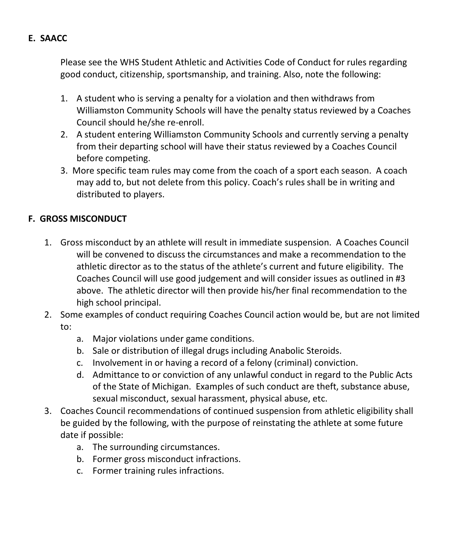### **E. SAACC**

Please see the WHS Student Athletic and Activities Code of Conduct for rules regarding good conduct, citizenship, sportsmanship, and training. Also, note the following:

- 1. A student who is serving a penalty for a violation and then withdraws from Williamston Community School*s* will have the penalty status reviewed by a Coaches Council should he/she re-enroll.
- 2. A student entering Williamston Community School*s* and currently serving a penalty from their departing school will have their status reviewed by a Coaches Council before competing.
- 3. More specific team rules may come from the coach of a sport each season. A coach may add to, but not delete from this policy. Coach's rules shall be in writing and distributed to players.

### **F. GROSS MISCONDUCT**

- 1. Gross misconduct by an athlete will result in immediate suspension. A Coaches Council will be convened to discuss the circumstances and make a recommendation to the athletic director as to the status of the athlete's current and future eligibility. The Coaches Council will use good judgement and will consider issues as outlined in #3 above. The athletic director will then provide his/her final recommendation to the high school principal.
- 2. Some examples of conduct requiring Coaches Council action would be, but are not limited to:
	- a. Major violations under game conditions.
	- b. Sale or distribution of illegal drugs including Anabolic Steroids.
	- c. Involvement in or having a record of a felony (criminal) conviction.
	- d. Admittance to or conviction of any unlawful conduct in regard to the Public Acts of the State of Michigan. Examples of such conduct are theft, substance abuse, sexual misconduct, sexual harassment, physical abuse, etc.
- 3. Coaches Council recommendations of continued suspension from athletic eligibility shall be guided by the following, with the purpose of reinstating the athlete at some future date if possible:
	- a. The surrounding circumstances.
	- b. Former gross misconduct infractions.
	- c. Former training rules infractions.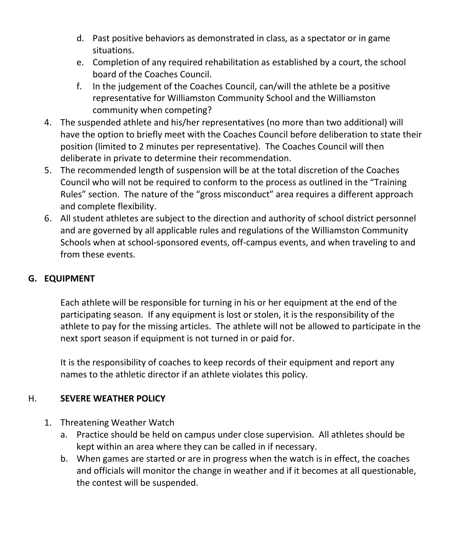- d. Past positive behaviors as demonstrated in class, as a spectator or in game situations.
- e. Completion of any required rehabilitation as established by a court, the school board of the Coaches Council.
- f. In the judgement of the Coaches Council, can/will the athlete be a positive representative for Williamston Community School and the Williamston community when competing?
- 4. The suspended athlete and his/her representatives (no more than two additional) will have the option to briefly meet with the Coaches Council before deliberation to state their position (limited to 2 minutes per representative). The Coaches Council will then deliberate in private to determine their recommendation.
- 5. The recommended length of suspension will be at the total discretion of the Coaches Council who will not be required to conform to the process as outlined in the "Training Rules" section. The nature of the "gross misconduct" area requires a different approach and complete flexibility.
- 6. All student athletes are subject to the direction and authority of school district personnel and are governed by all applicable rules and regulations of the Williamston Community Schools when at school-sponsored events, off-campus events, and when traveling to and from these events.

## **G. EQUIPMENT**

Each athlete will be responsible for turning in his or her equipment at the end of the participating season. If any equipment is lost or stolen, it is the responsibility of the athlete to pay for the missing articles. The athlete will not be allowed to participate in the next sport season if equipment is not turned in or paid for.

It is the responsibility of coaches to keep records of their equipment and report any names to the athletic director if an athlete violates this policy.

## H. **SEVERE WEATHER POLICY**

- 1. Threatening Weather Watch
	- a. Practice should be held on campus under close supervision. All athletes should be kept within an area where they can be called in if necessary.
	- b. When games are started or are in progress when the watch is in effect, the coaches and officials will monitor the change in weather and if it becomes at all questionable, the contest will be suspended.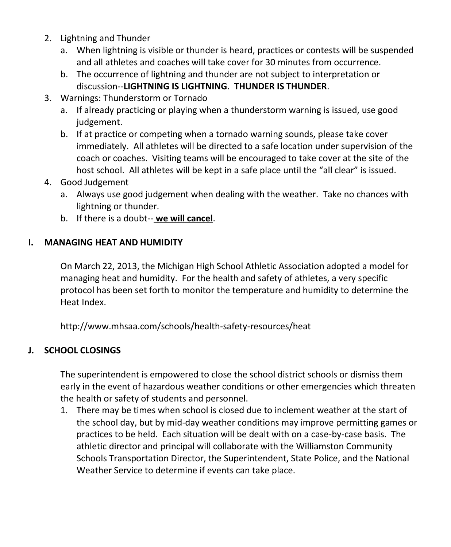- 2. Lightning and Thunder
	- a. When lightning is visible or thunder is heard, practices or contests will be suspended and all athletes and coaches will take cover for 30 minutes from occurrence.
	- b. The occurrence of lightning and thunder are not subject to interpretation or discussion--**LIGHTNING IS LIGHTNING**. **THUNDER IS THUNDER**.
- 3. Warnings: Thunderstorm or Tornado
	- a. If already practicing or playing when a thunderstorm warning is issued, use good judgement.
	- b. If at practice or competing when a tornado warning sounds, please take cover immediately. All athletes will be directed to a safe location under supervision of the coach or coaches. Visiting teams will be encouraged to take cover at the site of the host school. All athletes will be kept in a safe place until the "all clear" is issued.
- 4. Good Judgement
	- a. Always use good judgement when dealing with the weather. Take no chances with lightning or thunder.
	- b. If there is a doubt-- **we will cancel**.

# **I. MANAGING HEAT AND HUMIDITY**

On March 22, 2013, the Michigan High School Athletic Association adopted a model for managing heat and humidity. For the health and safety of athletes, a very specific protocol has been set forth to monitor the temperature and humidity to determine the Heat Index.

http://www.mhsaa.com/schools/health-safety-resources/heat

# **J. SCHOOL CLOSINGS**

The superintendent is empowered to close the school district schools or dismiss them early in the event of hazardous weather conditions or other emergencies which threaten the health or safety of students and personnel.

1. There may be times when school is closed due to inclement weather at the start of the school day, but by mid-day weather conditions may improve permitting games or practices to be held. Each situation will be dealt with on a case-by-case basis. The athletic director and principal will collaborate with the Williamston Community Schools Transportation Director, the Superintendent, State Police, and the National Weather Service to determine if events can take place.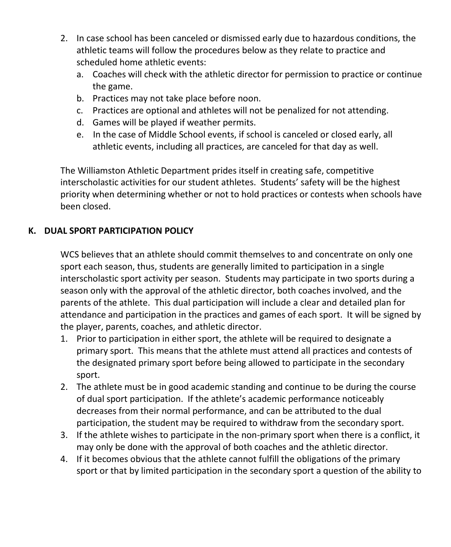- 2. In case school has been canceled or dismissed early due to hazardous conditions, the athletic teams will follow the procedures below as they relate to practice and scheduled home athletic events:
	- a. Coaches will check with the athletic director for permission to practice or continue the game.
	- b. Practices may not take place before noon.
	- c. Practices are optional and athletes will not be penalized for not attending.
	- d. Games will be played if weather permits.
	- e. In the case of Middle School events, if school is canceled or closed early, all athletic events, including all practices, are canceled for that day as well.

The Williamston Athletic Department prides itself in creating safe, competitive interscholastic activities for our student athletes.Students' safety will be the highest priority when determining whether or not to hold practices or contests when schools have been closed.

# **K. DUAL SPORT PARTICIPATION POLICY**

WCS believes that an athlete should commit themselves to and concentrate on only one sport each season, thus, students are generally limited to participation in a single interscholastic sport activity per season. Students may participate in two sports during a season only with the approval of the athletic director, both coaches involved, and the parents of the athlete. This dual participation will include a clear and detailed plan for attendance and participation in the practices and games of each sport. It will be signed by the player, parents, coaches, and athletic director.

- 1. Prior to participation in either sport, the athlete will be required to designate a primary sport. This means that the athlete must attend all practices and contests of the designated primary sport before being allowed to participate in the secondary sport.
- 2. The athlete must be in good academic standing and continue to be during the course of dual sport participation. If the athlete's academic performance noticeably decreases from their normal performance, and can be attributed to the dual participation, the student may be required to withdraw from the secondary sport.
- 3. If the athlete wishes to participate in the non-primary sport when there is a conflict, it may only be done with the approval of both coaches and the athletic director.
- 4. If it becomes obvious that the athlete cannot fulfill the obligations of the primary sport or that by limited participation in the secondary sport a question of the ability to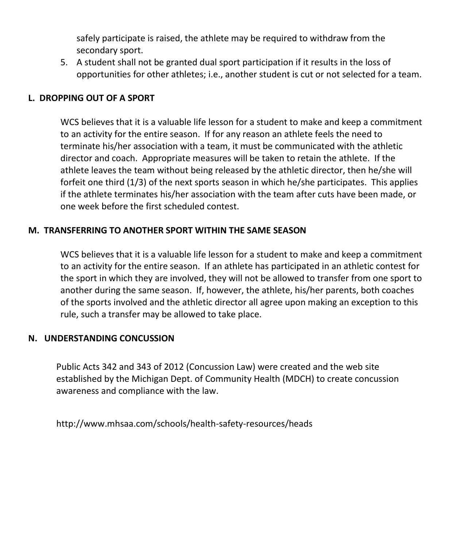safely participate is raised, the athlete may be required to withdraw from the secondary sport.

5. A student shall not be granted dual sport participation if it results in the loss of opportunities for other athletes; i.e., another student is cut or not selected for a team.

### **L. DROPPING OUT OF A SPORT**

WCS believes that it is a valuable life lesson for a student to make and keep a commitment to an activity for the entire season. If for any reason an athlete feels the need to terminate his/her association with a team, it must be communicated with the athletic director and coach. Appropriate measures will be taken to retain the athlete. If the athlete leaves the team without being released by the athletic director, then he/she will forfeit one third (1/3) of the next sports season in which he/she participates. This applies if the athlete terminates his/her association with the team after cuts have been made, or one week before the first scheduled contest.

### **M. TRANSFERRING TO ANOTHER SPORT WITHIN THE SAME SEASON**

WCS believes that it is a valuable life lesson for a student to make and keep a commitment to an activity for the entire season. If an athlete has participated in an athletic contest for the sport in which they are involved, they will not be allowed to transfer from one sport to another during the same season. If, however, the athlete, his/her parents, both coaches of the sports involved and the athletic director all agree upon making an exception to this rule, such a transfer may be allowed to take place.

#### **N. UNDERSTANDING CONCUSSION**

Public Acts 342 and 343 of 2012 (Concussion Law) were created and the web site established by the Michigan Dept. of Community Health (MDCH) to create concussion awareness and compliance with the law.

http://www.mhsaa.com/schools/health-safety-resources/heads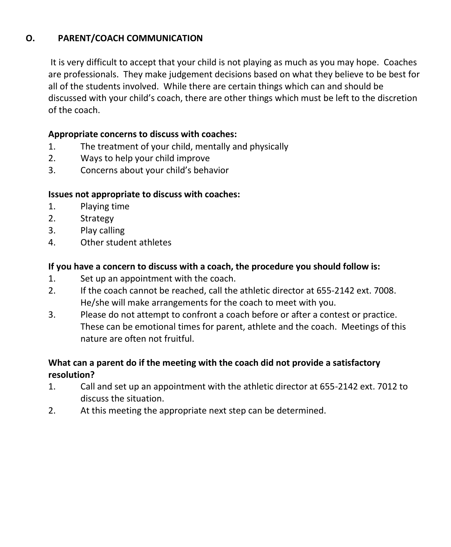## **O. PARENT/COACH COMMUNICATION**

 It is very difficult to accept that your child is not playing as much as you may hope. Coaches are professionals. They make judgement decisions based on what they believe to be best for all of the students involved. While there are certain things which can and should be discussed with your child's coach, there are other things which must be left to the discretion of the coach.

### **Appropriate concerns to discuss with coaches:**

- 1. The treatment of your child, mentally and physically
- 2. Ways to help your child improve
- 3. Concerns about your child's behavior

### **Issues not appropriate to discuss with coaches:**

- 1. Playing time
- 2. Strategy
- 3. Play calling
- 4. Other student athletes

### **If you have a concern to discuss with a coach, the procedure you should follow is:**

- 1. Set up an appointment with the coach.
- 2. If the coach cannot be reached, call the athletic director at 655-2142 ext. 7008. He/she will make arrangements for the coach to meet with you.
- 3. Please do not attempt to confront a coach before or after a contest or practice. These can be emotional times for parent, athlete and the coach. Meetings of this nature are often not fruitful.

## **What can a parent do if the meeting with the coach did not provide a satisfactory resolution?**

- 1. Call and set up an appointment with the athletic director at 655-2142 ext. 7012 to discuss the situation.
- 2. At this meeting the appropriate next step can be determined.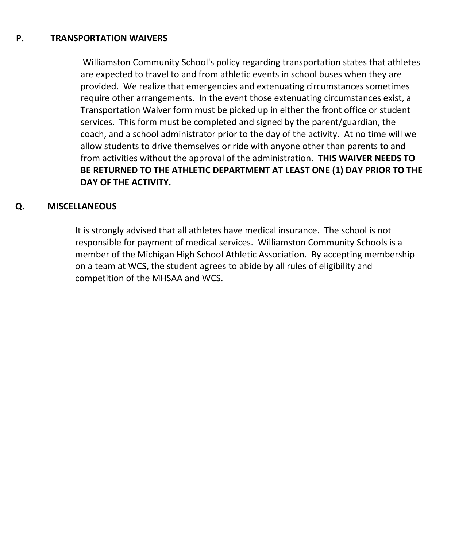#### **P. TRANSPORTATION WAIVERS**

Williamston Community School's policy regarding transportation states that athletes are expected to travel to and from athletic events in school buses when they are provided. We realize that emergencies and extenuating circumstances sometimes require other arrangements. In the event those extenuating circumstances exist, a Transportation Waiver form must be picked up in either the front office or student services. This form must be completed and signed by the parent/guardian, the coach, and a school administrator prior to the day of the activity. At no time will we allow students to drive themselves or ride with anyone other than parents to and from activities without the approval of the administration. **THIS WAIVER NEEDS TO BE RETURNED TO THE ATHLETIC DEPARTMENT AT LEAST ONE (1) DAY PRIOR TO THE DAY OF THE ACTIVITY.**

#### **Q. MISCELLANEOUS**

It is strongly advised that all athletes have medical insurance. The school is not responsible for payment of medical services. Williamston Community Schools is a member of the Michigan High School Athletic Association. By accepting membership on a team at WCS, the student agrees to abide by all rules of eligibility and competition of the MHSAA and WCS.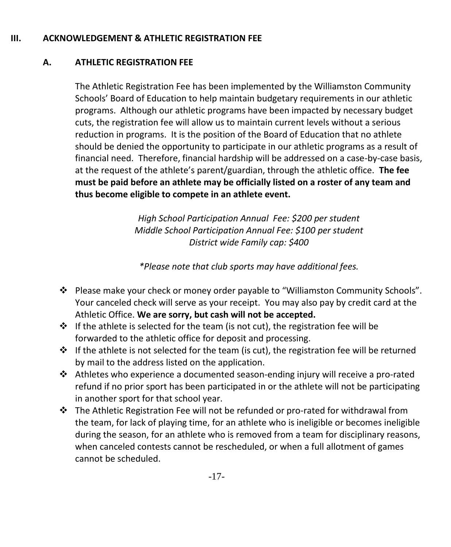### **III. ACKNOWLEDGEMENT & ATHLETIC REGISTRATION FEE**

# **A. ATHLETIC REGISTRATION FEE**

The Athletic Registration Fee has been implemented by the Williamston Community Schools' Board of Education to help maintain budgetary requirements in our athletic programs. Although our athletic programs have been impacted by necessary budget cuts, the registration fee will allow us to maintain current levels without a serious reduction in programs. It is the position of the Board of Education that no athlete should be denied the opportunity to participate in our athletic programs as a result of financial need. Therefore, financial hardship will be addressed on a case-by-case basis, at the request of the athlete's parent/guardian, through the athletic office. **The fee must be paid before an athlete may be officially listed on a roster of any team and thus become eligible to compete in an athlete event.**

> *High School Participation Annual Fee: \$200 per student Middle School Participation Annual Fee: \$100 per student District wide Family cap: \$400*

*\*Please note that club sports may have additional fees.*

- Please make your check or money order payable to "Williamston Community Schools". Your canceled check will serve as your receipt. You may also pay by credit card at the Athletic Office. **We are sorry, but cash will not be accepted.**
- $\div$  If the athlete is selected for the team (is not cut), the registration fee will be forwarded to the athletic office for deposit and processing.
- $\mathbf{\hat{P}}$  If the athlete is not selected for the team (is cut), the registration fee will be returned by mail to the address listed on the application.
- Athletes who experience a documented season-ending injury will receive a pro-rated refund if no prior sport has been participated in or the athlete will not be participating in another sport for that school year.
- $\cdot \cdot$  The Athletic Registration Fee will not be refunded or pro-rated for withdrawal from the team, for lack of playing time, for an athlete who is ineligible or becomes ineligible during the season, for an athlete who is removed from a team for disciplinary reasons, when canceled contests cannot be rescheduled, or when a full allotment of games cannot be scheduled.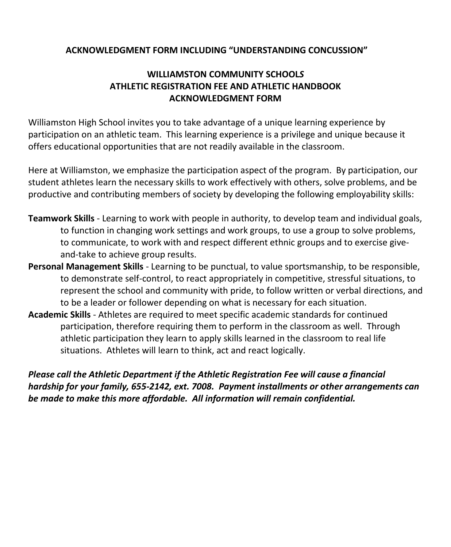### **ACKNOWLEDGMENT FORM INCLUDING "UNDERSTANDING CONCUSSION"**

## **WILLIAMSTON COMMUNITY SCHOOL***S* **ATHLETIC REGISTRATION FEE AND ATHLETIC HANDBOOK ACKNOWLEDGMENT FORM**

Williamston High School invites you to take advantage of a unique learning experience by participation on an athletic team. This learning experience is a privilege and unique because it offers educational opportunities that are not readily available in the classroom.

Here at Williamston, we emphasize the participation aspect of the program. By participation, our student athletes learn the necessary skills to work effectively with others, solve problems, and be productive and contributing members of society by developing the following employability skills:

- **Teamwork Skills** Learning to work with people in authority, to develop team and individual goals, to function in changing work settings and work groups, to use a group to solve problems, to communicate, to work with and respect different ethnic groups and to exercise giveand-take to achieve group results.
- **Personal Management Skills** Learning to be punctual, to value sportsmanship, to be responsible, to demonstrate self-control, to react appropriately in competitive, stressful situations, to represent the school and community with pride, to follow written or verbal directions, and to be a leader or follower depending on what is necessary for each situation.
- **Academic Skills** Athletes are required to meet specific academic standards for continued participation, therefore requiring them to perform in the classroom as well. Through athletic participation they learn to apply skills learned in the classroom to real life situations. Athletes will learn to think, act and react logically.

*Please call the Athletic Department if the Athletic Registration Fee will cause a financial hardship for your family, 655-2142, ext. 7008. Payment installments or other arrangements can be made to make this more affordable. All information will remain confidential.*